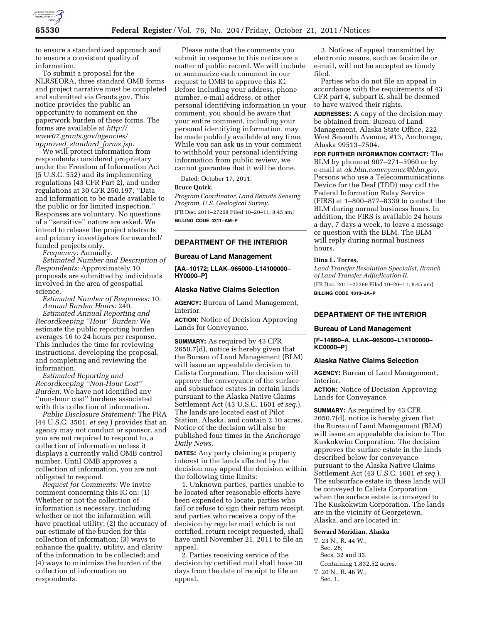

to ensure a standardized approach and to ensure a consistent quality of information.

To submit a proposal for the NLRSEORA, three standard OMB forms and project narrative must be completed and submitted via Grants.gov. This notice provides the public an opportunity to comment on the paperwork burden of these forms. The forms are available at *[http://](http://www07.grants.gov/agencies/approved_standard_forms.jsp)  [www07.grants.gov/agencies/](http://www07.grants.gov/agencies/approved_standard_forms.jsp)  approved*\_*standard*\_*[forms.jsp.](http://www07.grants.gov/agencies/approved_standard_forms.jsp)* 

We will protect information from respondents considered proprietary under the Freedom of Information Act (5 U.S.C. 552) and its implementing regulations (43 CFR Part 2), and under regulations at 30 CFR 250.197, ''Data and information to be made available to the public or for limited inspection.'' Responses are voluntary. No questions of a ''sensitive'' nature are asked. We intend to release the project abstracts and primary investigators for awarded/ funded projects only.

*Frequency:* Annually.

*Estimated Number and Description of Respondents:* Approximately 10 proposals are submitted by individuals involved in the area of geospatial science.

*Estimated Number of Responses:* 10. *Annual Burden Hours:* 240.

*Estimated Annual Reporting and Recordkeeping ''Hour'' Burden:* We estimate the public reporting burden averages 16 to 24 hours per response. This includes the time for reviewing instructions, developing the proposal, and completing and reviewing the information.

*Estimated Reporting and Recordkeeping ''Non-Hour Cost'' Burden:* We have not identified any ''non-hour cost'' burdens associated with this collection of information.

*Public Disclosure Statement:* The PRA (44 U.S.C. 3501, *et seq.*) provides that an agency may not conduct or sponsor, and you are not required to respond to, a collection of information unless it displays a currently valid OMB control number. Until OMB approves a collection of information, you are not obligated to respond.

*Request for Comments:* We invite comment concerning this IC on: (1) Whether or not the collection of information is necessary, including whether or not the information will have practical utility; (2) the accuracy of our estimate of the burden for this collection of information; (3) ways to enhance the quality, utility, and clarity of the information to be collected; and (4) ways to minimize the burden of the collection of information on respondents.

Please note that the comments you submit in response to this notice are a matter of public record. We will include or summarize each comment in our request to OMB to approve this IC. Before including your address, phone number, e-mail address, or other personal identifying information in your comment, you should be aware that your entire comment, including your personal identifying information, may be made publicly available at any time. While you can ask us in your comment to withhold your personal identifying information from public review, we cannot guarantee that it will be done.

Dated: October 17, 2011.

## **Bruce Quirk,**

*Program Coordinator, Land Remote Sensing Program, U.S. Geological Survey.*  [FR Doc. 2011–27268 Filed 10–20–11; 8:45 am] **BILLING CODE 4311–AM–P** 

# **DEPARTMENT OF THE INTERIOR**

#### **Bureau of Land Management**

**[AA–10172; LLAK–965000–L14100000– HY0000–P]** 

#### **Alaska Native Claims Selection**

**AGENCY:** Bureau of Land Management, Interior.

**ACTION:** Notice of Decision Approving Lands for Conveyance.

**SUMMARY:** As required by 43 CFR 2650.7(d), notice is hereby given that the Bureau of Land Management (BLM) will issue an appealable decision to Calista Corporation. The decision will approve the conveyance of the surface and subsurface estates in certain lands pursuant to the Alaska Native Claims Settlement Act (43 U.S.C. 1601 *et seq.*). The lands are located east of Pilot Station, Alaska, and contain 2.10 acres. Notice of the decision will also be published four times in the *Anchorage Daily News.* 

**DATES:** Any party claiming a property interest in the lands affected by the decision may appeal the decision within the following time limits:

1. Unknown parties, parties unable to be located after reasonable efforts have been expended to locate, parties who fail or refuse to sign their return receipt, and parties who receive a copy of the decision by regular mail which is not certified, return receipt requested, shall have until November 21, 2011 to file an appeal.

2. Parties receiving service of the decision by certified mail shall have 30 days from the date of receipt to file an appeal.

3. Notices of appeal transmitted by electronic means, such as facsimile or e-mail, will not be accepted as timely filed.

Parties who do not file an appeal in accordance with the requirements of 43 CFR part 4, subpart E, shall be deemed to have waived their rights.

**ADDRESSES:** A copy of the decision may be obtained from: Bureau of Land Management, Alaska State Office, 222 West Seventh Avenue, #13, Anchorage, Alaska 99513–7504.

**FOR FURTHER INFORMATION CONTACT:** The BLM by phone at 907–271–5960 or by e-mail at *[ak.blm.conveyance@blm.gov.](mailto:ak.blm.conveyance@blm.gov)*  Persons who use a Telecommunications Device for the Deaf (TDD) may call the Federal Information Relay Service (FIRS) at 1–800–877–8339 to contact the BLM during normal business hours. In addition, the FIRS is available 24 hours a day, 7 days a week, to leave a message or question with the BLM. The BLM will reply during normal business hours.

#### **Dina L. Torres,**

*Land Transfer Resolution Specialist, Branch of Land Transfer Adjudication II.*  [FR Doc. 2011–27269 Filed 10–20–11; 8:45 am] **BILLING CODE 4310–JA–P** 

#### **DEPARTMENT OF THE INTERIOR**

#### **Bureau of Land Management**

**[F–14860–A, LLAK–965000–L14100000– KC0000–P]** 

#### **Alaska Native Claims Selection**

**AGENCY:** Bureau of Land Management, Interior.

**ACTION:** Notice of Decision Approving Lands for Conveyance.

**SUMMARY:** As required by 43 CFR 2650.7(d), notice is hereby given that the Bureau of Land Management (BLM) will issue an appealable decision to The Kuskokwim Corporation. The decision approves the surface estate in the lands described below for conveyance pursuant to the Alaska Native Claims Settlement Act (43 U.S.C. 1601 *et seq.*). The subsurface estate in these lands will be conveyed to Calista Corporation when the surface estate is conveyed to The Kuskokwim Corporation. The lands are in the vicinity of Georgetown, Alaska, and are located in:

### **Seward Meridian, Alaska**

T. 23 N., R. 44 W.,

Sec. 28; Secs. 32 and 33.

- 
- Containing 1,832.52 acres.
- T. 20 N., R. 46 W.,
- Sec. 1.